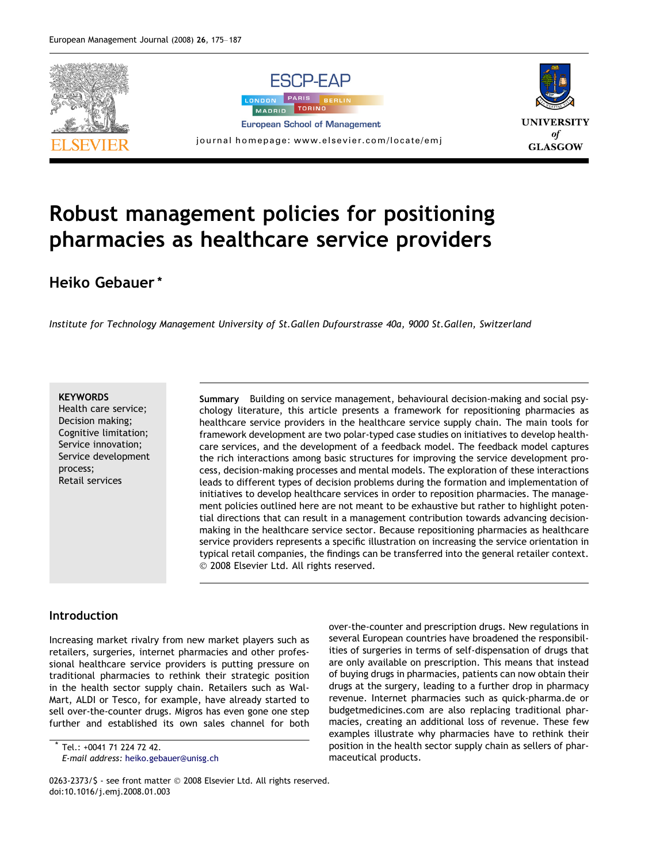

# Robust management policies for positioning pharmacies as healthcare service providers

### Heiko Gebauer \*

Institute for Technology Management University of St.Gallen Dufourstrasse 40a, 9000 St.Gallen, Switzerland

#### **KEYWORDS**

Health care service; Decision making; Cognitive limitation; Service innovation; Service development process; Retail services

Summary Building on service management, behavioural decision-making and social psychology literature, this article presents a framework for repositioning pharmacies as healthcare service providers in the healthcare service supply chain. The main tools for framework development are two polar-typed case studies on initiatives to develop healthcare services, and the development of a feedback model. The feedback model captures the rich interactions among basic structures for improving the service development process, decision-making processes and mental models. The exploration of these interactions leads to different types of decision problems during the formation and implementation of initiatives to develop healthcare services in order to reposition pharmacies. The management policies outlined here are not meant to be exhaustive but rather to highlight potential directions that can result in a management contribution towards advancing decisionmaking in the healthcare service sector. Because repositioning pharmacies as healthcare service providers represents a specific illustration on increasing the service orientation in typical retail companies, the findings can be transferred into the general retailer context. © 2008 Elsevier Ltd. All rights reserved.

#### Introduction

Increasing market rivalry from new market players such as retailers, surgeries, internet pharmacies and other professional healthcare service providers is putting pressure on traditional pharmacies to rethink their strategic position in the health sector supply chain. Retailers such as Wal-Mart, ALDI or Tesco, for example, have already started to sell over-the-counter drugs. Migros has even gone one step further and established its own sales channel for both

Tel.: +0041 71 224 72 42. E-mail address: [heiko.gebauer@unisg.ch](mailto:heiko.gebauer@unisg.ch) over-the-counter and prescription drugs. New regulations in several European countries have broadened the responsibilities of surgeries in terms of self-dispensation of drugs that are only available on prescription. This means that instead of buying drugs in pharmacies, patients can now obtain their drugs at the surgery, leading to a further drop in pharmacy revenue. Internet pharmacies such as quick-pharma.de or budgetmedicines.com are also replacing traditional pharmacies, creating an additional loss of revenue. These few examples illustrate why pharmacies have to rethink their position in the health sector supply chain as sellers of pharmaceutical products.

<sup>0263-2373/\$ -</sup> see front matter © 2008 Elsevier Ltd. All rights reserved. doi:10.1016/j.emj.2008.01.003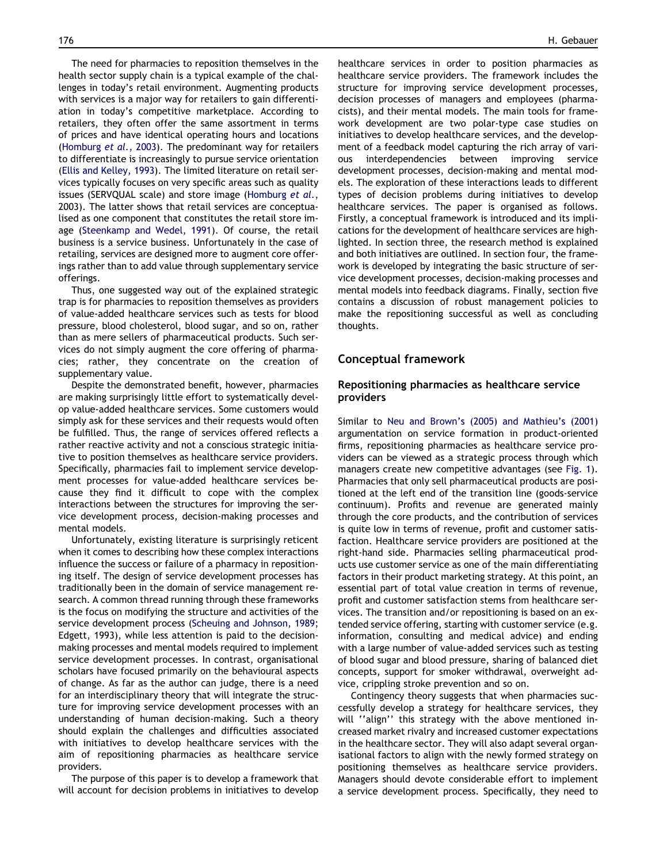The need for pharmacies to reposition themselves in the health sector supply chain is a typical example of the challenges in today's retail environment. Augmenting products with services is a major way for retailers to gain differentiation in today's competitive marketplace. According to retailers, they often offer the same assortment in terms of prices and have identical operating hours and locations [\(Homburg](#page--1-0) et al., 2003). The predominant way for retailers to differentiate is increasingly to pursue service orientation [\(Ellis and Kelley, 1993](#page--1-0)). The limited literature on retail services typically focuses on very specific areas such as quality issues (SERVQUAL scale) and store image [\(Homburg](#page--1-0) et al., [2003](#page--1-0)). The latter shows that retail services are conceptualised as one component that constitutes the retail store image ([Steenkamp and Wedel, 1991\)](#page--1-0). Of course, the retail business is a service business. Unfortunately in the case of retailing, services are designed more to augment core offerings rather than to add value through supplementary service offerings.

Thus, one suggested way out of the explained strategic trap is for pharmacies to reposition themselves as providers of value-added healthcare services such as tests for blood pressure, blood cholesterol, blood sugar, and so on, rather than as mere sellers of pharmaceutical products. Such services do not simply augment the core offering of pharmacies; rather, they concentrate on the creation of supplementary value.

Despite the demonstrated benefit, however, pharmacies are making surprisingly little effort to systematically develop value-added healthcare services. Some customers would simply ask for these services and their requests would often be fulfilled. Thus, the range of services offered reflects a rather reactive activity and not a conscious strategic initiative to position themselves as healthcare service providers. Specifically, pharmacies fail to implement service development processes for value-added healthcare services because they find it difficult to cope with the complex interactions between the structures for improving the service development process, decision-making processes and mental models.

Unfortunately, existing literature is surprisingly reticent when it comes to describing how these complex interactions influence the success or failure of a pharmacy in repositioning itself. The design of service development processes has traditionally been in the domain of service management research. A common thread running through these frameworks is the focus on modifying the structure and activities of the service development process ([Scheuing and Johnson, 1989;](#page--1-0) [Edgett, 1993](#page--1-0)), while less attention is paid to the decisionmaking processes and mental models required to implement service development processes. In contrast, organisational scholars have focused primarily on the behavioural aspects of change. As far as the author can judge, there is a need for an interdisciplinary theory that will integrate the structure for improving service development processes with an understanding of human decision-making. Such a theory should explain the challenges and difficulties associated with initiatives to develop healthcare services with the aim of repositioning pharmacies as healthcare service providers.

The purpose of this paper is to develop a framework that will account for decision problems in initiatives to develop healthcare services in order to position pharmacies as healthcare service providers. The framework includes the structure for improving service development processes, decision processes of managers and employees (pharmacists), and their mental models. The main tools for framework development are two polar-type case studies on initiatives to develop healthcare services, and the development of a feedback model capturing the rich array of various interdependencies between improving service development processes, decision-making and mental models. The exploration of these interactions leads to different types of decision problems during initiatives to develop healthcare services. The paper is organised as follows. Firstly, a conceptual framework is introduced and its implications for the development of healthcare services are highlighted. In section three, the research method is explained and both initiatives are outlined. In section four, the framework is developed by integrating the basic structure of service development processes, decision-making processes and mental models into feedback diagrams. Finally, section five contains a discussion of robust management policies to make the repositioning successful as well as concluding thoughts.

#### Conceptual framework

#### Repositioning pharmacies as healthcare service providers

Similar to [Neu and Brown's \(2005\) and Mathieu's \(2001\)](#page--1-0) argumentation on service formation in product-oriented firms, repositioning pharmacies as healthcare service providers can be viewed as a strategic process through which managers create new competitive advantages (see [Fig. 1](#page--1-0)). Pharmacies that only sell pharmaceutical products are positioned at the left end of the transition line (goods-service continuum). Profits and revenue are generated mainly through the core products, and the contribution of services is quite low in terms of revenue, profit and customer satisfaction. Healthcare service providers are positioned at the right-hand side. Pharmacies selling pharmaceutical products use customer service as one of the main differentiating factors in their product marketing strategy. At this point, an essential part of total value creation in terms of revenue, profit and customer satisfaction stems from healthcare services. The transition and/or repositioning is based on an extended service offering, starting with customer service (e.g. information, consulting and medical advice) and ending with a large number of value-added services such as testing of blood sugar and blood pressure, sharing of balanced diet concepts, support for smoker withdrawal, overweight advice, crippling stroke prevention and so on.

Contingency theory suggests that when pharmacies successfully develop a strategy for healthcare services, they will ''align'' this strategy with the above mentioned increased market rivalry and increased customer expectations in the healthcare sector. They will also adapt several organisational factors to align with the newly formed strategy on positioning themselves as healthcare service providers. Managers should devote considerable effort to implement a service development process. Specifically, they need to